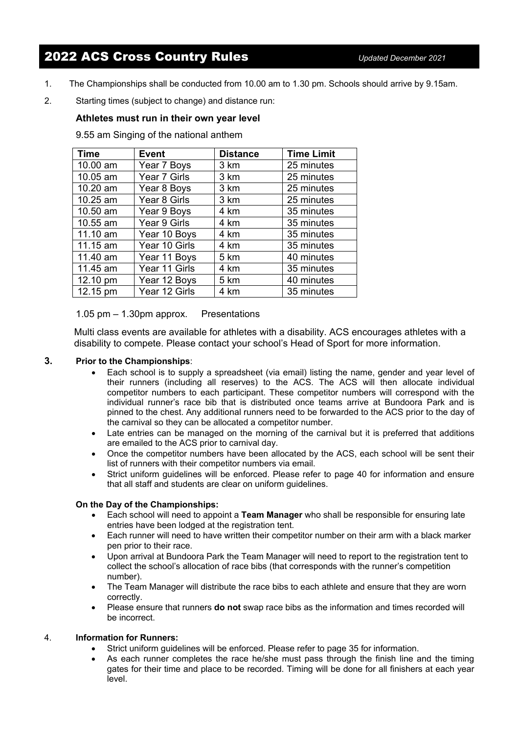# 2022 ACS Cross Country Rules *Updated December <sup>2021</sup>*

- 1. The Championships shall be conducted from 10.00 am to 1.30 pm. Schools should arrive by 9.15am.
- 2. Starting times (subject to change) and distance run:

## **Athletes must run in their own year level**

9.55 am Singing of the national anthem

| <b>Time</b> | <b>Event</b>  | <b>Distance</b> | <b>Time Limit</b> |
|-------------|---------------|-----------------|-------------------|
| 10.00 am    | Year 7 Boys   | 3 km            | 25 minutes        |
| 10.05 am    | Year 7 Girls  | 3 km            | 25 minutes        |
| 10.20 am    | Year 8 Boys   | 3 km            | 25 minutes        |
| 10.25 am    | Year 8 Girls  | 3 km            | 25 minutes        |
| 10.50 am    | Year 9 Boys   | 4 km            | 35 minutes        |
| 10.55 am    | Year 9 Girls  | 4 km            | 35 minutes        |
| 11.10 am    | Year 10 Boys  | 4 km            | 35 minutes        |
| 11.15 am    | Year 10 Girls | 4 km            | 35 minutes        |
| 11.40 am    | Year 11 Boys  | 5 km            | 40 minutes        |
| 11.45 am    | Year 11 Girls | 4 km            | 35 minutes        |
| 12.10 pm    | Year 12 Boys  | 5 km            | 40 minutes        |
| 12.15 pm    | Year 12 Girls | 4 km            | 35 minutes        |

1.05 pm – 1.30pm approx. Presentations

Multi class events are available for athletes with a disability. ACS encourages athletes with a disability to compete. Please contact your school's Head of Sport for more information.

#### **3. Prior to the Championships**:

- Each school is to supply a spreadsheet (via email) listing the name, gender and year level of their runners (including all reserves) to the ACS. The ACS will then allocate individual competitor numbers to each participant. These competitor numbers will correspond with the individual runner's race bib that is distributed once teams arrive at Bundoora Park and is pinned to the chest. Any additional runners need to be forwarded to the ACS prior to the day of the carnival so they can be allocated a competitor number.
- Late entries can be managed on the morning of the carnival but it is preferred that additions are emailed to the ACS prior to carnival day.
- Once the competitor numbers have been allocated by the ACS, each school will be sent their list of runners with their competitor numbers via email.
- Strict uniform guidelines will be enforced. Please refer to page 40 for information and ensure that all staff and students are clear on uniform guidelines.

#### **On the Day of the Championships:**

- Each school will need to appoint a **Team Manager** who shall be responsible for ensuring late entries have been lodged at the registration tent.
- Each runner will need to have written their competitor number on their arm with a black marker pen prior to their race.
- Upon arrival at Bundoora Park the Team Manager will need to report to the registration tent to collect the school's allocation of race bibs (that corresponds with the runner's competition number).
- The Team Manager will distribute the race bibs to each athlete and ensure that they are worn correctly.
- Please ensure that runners **do not** swap race bibs as the information and times recorded will be incorrect.

#### 4. **Information for Runners:**

- Strict uniform guidelines will be enforced. Please refer to page 35 for information.
- As each runner completes the race he/she must pass through the finish line and the timing gates for their time and place to be recorded. Timing will be done for all finishers at each year level.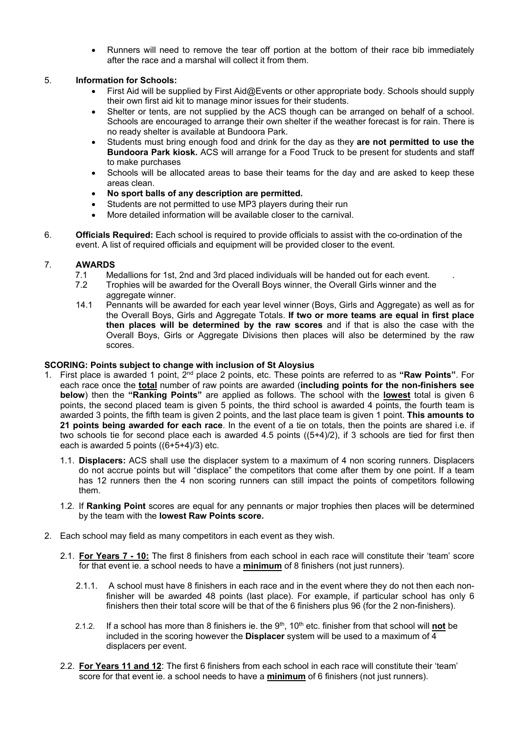• Runners will need to remove the tear off portion at the bottom of their race bib immediately after the race and a marshal will collect it from them.

#### 5. **Information for Schools:**

- First Aid will be supplied by First Aid@Events or other appropriate body. Schools should supply their own first aid kit to manage minor issues for their students.
- Shelter or tents, are not supplied by the ACS though can be arranged on behalf of a school. Schools are encouraged to arrange their own shelter if the weather forecast is for rain. There is no ready shelter is available at Bundoora Park.
- Students must bring enough food and drink for the day as they **are not permitted to use the Bundoora Park kiosk.** ACS will arrange for a Food Truck to be present for students and staff to make purchases
- Schools will be allocated areas to base their teams for the day and are asked to keep these areas clean.
- **No sport balls of any description are permitted.**
- Students are not permitted to use MP3 players during their run
- More detailed information will be available closer to the carnival.
- 6. **Officials Required:** Each school is required to provide officials to assist with the co-ordination of the event. A list of required officials and equipment will be provided closer to the event.

# 7. **AWARDS**

- 7.1 Medallions for 1st, 2nd and 3rd placed individuals will be handed out for each event.<br>7.2 Trophies will be awarded for the Overall Boys winner, the Overall Girls winner and th
- Trophies will be awarded for the Overall Boys winner, the Overall Girls winner and the aggregate winner.
- 14.1 Pennants will be awarded for each year level winner (Boys, Girls and Aggregate) as well as for the Overall Boys, Girls and Aggregate Totals. **If two or more teams are equal in first place then places will be determined by the raw scores** and if that is also the case with the Overall Boys, Girls or Aggregate Divisions then places will also be determined by the raw scores.

## **SCORING: Points subject to change with inclusion of St Aloysius**

- 1. First place is awarded 1 point, 2nd place 2 points, etc. These points are referred to as **"Raw Points"**. For each race once the **total** number of raw points are awarded (**including points for the non-finishers see below**) then the **"Ranking Points"** are applied as follows. The school with the **lowest** total is given 6 points, the second placed team is given 5 points, the third school is awarded 4 points, the fourth team is awarded 3 points, the fifth team is given 2 points, and the last place team is given 1 point. **This amounts to 21 points being awarded for each race**. In the event of a tie on totals, then the points are shared i.e. if two schools tie for second place each is awarded 4.5 points  $((5+4)/2)$ , if 3 schools are tied for first then each is awarded 5 points ((6+5+4)/3) etc.
	- 1.1. **Displacers:** ACS shall use the displacer system to a maximum of 4 non scoring runners. Displacers do not accrue points but will "displace" the competitors that come after them by one point. If a team has 12 runners then the 4 non scoring runners can still impact the points of competitors following them.
	- 1.2. If **Ranking Point** scores are equal for any pennants or major trophies then places will be determined by the team with the **lowest Raw Points score.**
- 2. Each school may field as many competitors in each event as they wish.
	- 2.1. **For Years 7 - 10:** The first 8 finishers from each school in each race will constitute their 'team' score for that event ie. a school needs to have a **minimum** of 8 finishers (not just runners).
		- 2.1.1. A school must have 8 finishers in each race and in the event where they do not then each nonfinisher will be awarded 48 points (last place). For example, if particular school has only 6 finishers then their total score will be that of the 6 finishers plus 96 (for the 2 non-finishers).
		- 2.1.2. If a school has more than 8 finishers ie. the 9<sup>th</sup>, 10<sup>th</sup> etc. finisher from that school will **not** be included in the scoring however the **Displacer** system will be used to a maximum of 4 displacers per event.
	- 2.2. **For Years 11 and 12**: The first 6 finishers from each school in each race will constitute their 'team' score for that event ie. a school needs to have a **minimum** of 6 finishers (not just runners).